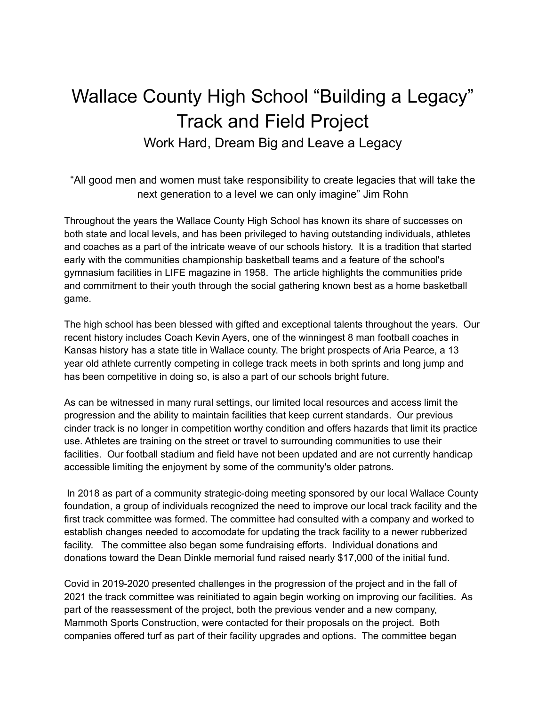## Wallace County High School "Building a Legacy" Track and Field Project Work Hard, Dream Big and Leave a Legacy

"All good men and women must take responsibility to create legacies that will take the next generation to a level we can only imagine" Jim Rohn

Throughout the years the Wallace County High School has known its share of successes on both state and local levels, and has been privileged to having outstanding individuals, athletes and coaches as a part of the intricate weave of our schools history. It is a tradition that started early with the communities championship basketball teams and a feature of the school's gymnasium facilities in LIFE magazine in 1958. The article highlights the communities pride and commitment to their youth through the social gathering known best as a home basketball game.

The high school has been blessed with gifted and exceptional talents throughout the years. Our recent history includes Coach Kevin Ayers, one of the winningest 8 man football coaches in Kansas history has a state title in Wallace county. The bright prospects of Aria Pearce, a 13 year old athlete currently competing in college track meets in both sprints and long jump and has been competitive in doing so, is also a part of our schools bright future.

As can be witnessed in many rural settings, our limited local resources and access limit the progression and the ability to maintain facilities that keep current standards. Our previous cinder track is no longer in competition worthy condition and offers hazards that limit its practice use. Athletes are training on the street or travel to surrounding communities to use their facilities. Our football stadium and field have not been updated and are not currently handicap accessible limiting the enjoyment by some of the community's older patrons.

In 2018 as part of a community strategic-doing meeting sponsored by our local Wallace County foundation, a group of individuals recognized the need to improve our local track facility and the first track committee was formed. The committee had consulted with a company and worked to establish changes needed to accomodate for updating the track facility to a newer rubberized facility. The committee also began some fundraising efforts. Individual donations and donations toward the Dean Dinkle memorial fund raised nearly \$17,000 of the initial fund.

Covid in 2019-2020 presented challenges in the progression of the project and in the fall of 2021 the track committee was reinitiated to again begin working on improving our facilities. As part of the reassessment of the project, both the previous vender and a new company, Mammoth Sports Construction, were contacted for their proposals on the project. Both companies offered turf as part of their facility upgrades and options. The committee began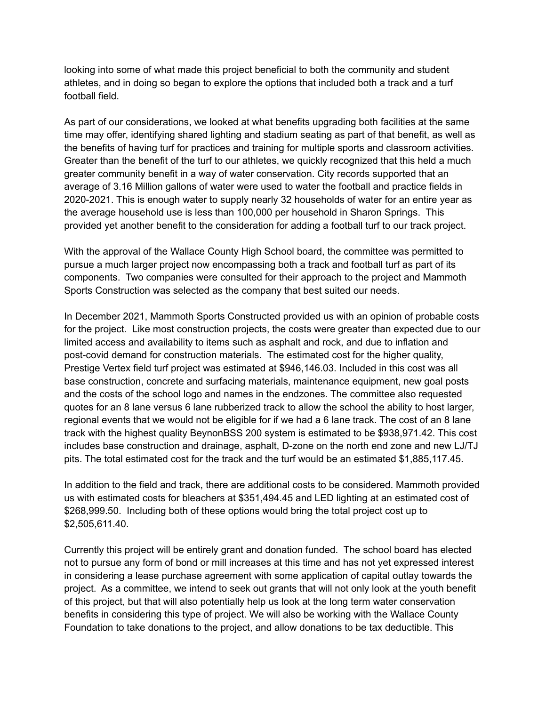looking into some of what made this project beneficial to both the community and student athletes, and in doing so began to explore the options that included both a track and a turf football field.

As part of our considerations, we looked at what benefits upgrading both facilities at the same time may offer, identifying shared lighting and stadium seating as part of that benefit, as well as the benefits of having turf for practices and training for multiple sports and classroom activities. Greater than the benefit of the turf to our athletes, we quickly recognized that this held a much greater community benefit in a way of water conservation. City records supported that an average of 3.16 Million gallons of water were used to water the football and practice fields in 2020-2021. This is enough water to supply nearly 32 households of water for an entire year as the average household use is less than 100,000 per household in Sharon Springs. This provided yet another benefit to the consideration for adding a football turf to our track project.

With the approval of the Wallace County High School board, the committee was permitted to pursue a much larger project now encompassing both a track and football turf as part of its components. Two companies were consulted for their approach to the project and Mammoth Sports Construction was selected as the company that best suited our needs.

In December 2021, Mammoth Sports Constructed provided us with an opinion of probable costs for the project. Like most construction projects, the costs were greater than expected due to our limited access and availability to items such as asphalt and rock, and due to inflation and post-covid demand for construction materials. The estimated cost for the higher quality, Prestige Vertex field turf project was estimated at \$946,146.03. Included in this cost was all base construction, concrete and surfacing materials, maintenance equipment, new goal posts and the costs of the school logo and names in the endzones. The committee also requested quotes for an 8 lane versus 6 lane rubberized track to allow the school the ability to host larger, regional events that we would not be eligible for if we had a 6 lane track. The cost of an 8 lane track with the highest quality BeynonBSS 200 system is estimated to be \$938,971.42. This cost includes base construction and drainage, asphalt, D-zone on the north end zone and new LJ/TJ pits. The total estimated cost for the track and the turf would be an estimated \$1,885,117.45.

In addition to the field and track, there are additional costs to be considered. Mammoth provided us with estimated costs for bleachers at \$351,494.45 and LED lighting at an estimated cost of \$268,999.50. Including both of these options would bring the total project cost up to \$2,505,611.40.

Currently this project will be entirely grant and donation funded. The school board has elected not to pursue any form of bond or mill increases at this time and has not yet expressed interest in considering a lease purchase agreement with some application of capital outlay towards the project. As a committee, we intend to seek out grants that will not only look at the youth benefit of this project, but that will also potentially help us look at the long term water conservation benefits in considering this type of project. We will also be working with the Wallace County Foundation to take donations to the project, and allow donations to be tax deductible. This